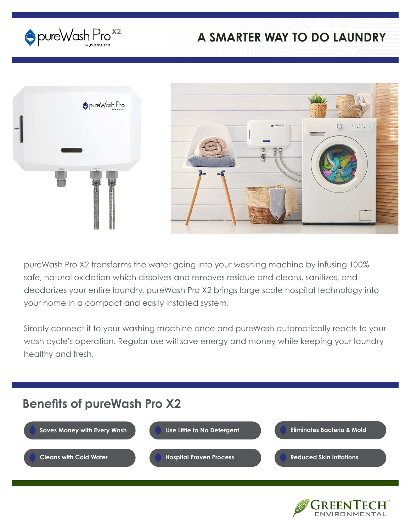

### **A SMARTER WAY TO DO LAUNDRY**



pureWash Pro X2 transforms the water going into your washing machine by infusing 100% safe, natural oxidation which dissolves and removes residue and cleans, sanitizes, and deodorizes your entire laundry. pureWash Pro X2 brings large scale hospital technology into your home in a compact and easily installed system.

Simply connect it to your washing machine once and pureWash automatically reacts to your wash cycle's operation. Regular use will save energy and money while keeping your laundry healthy and fresh.

# **Benefits of pureWash Pro X2**